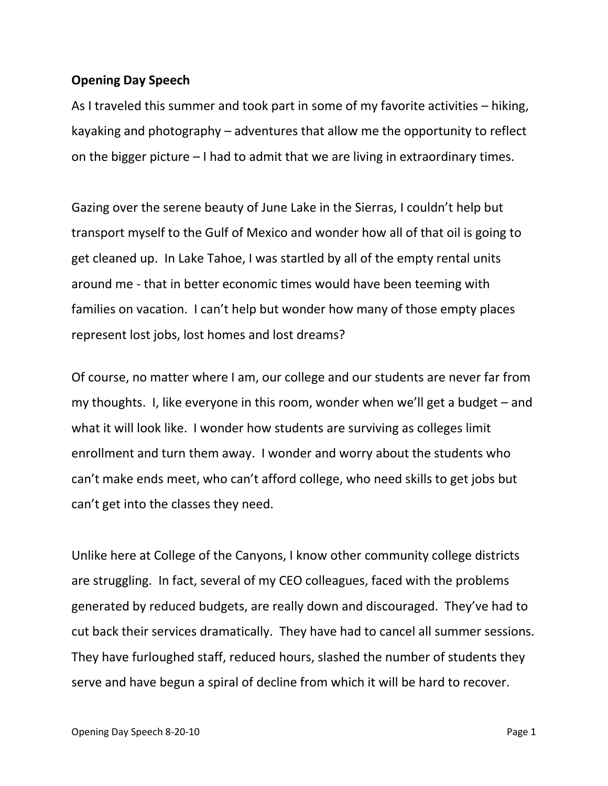## **Opening Day Speech**

As I traveled this summer and took part in some of my favorite activities – hiking, kayaking and photography – adventures that allow me the opportunity to reflect on the bigger picture – I had to admit that we are living in extraordinary times.

Gazing over the serene beauty of June Lake in the Sierras, I couldn't help but transport myself to the Gulf of Mexico and wonder how all of that oil is going to get cleaned up. In Lake Tahoe, I was startled by all of the empty rental units around me - that in better economic times would have been teeming with families on vacation. I can't help but wonder how many of those empty places represent lost jobs, lost homes and lost dreams?

Of course, no matter where I am, our college and our students are never far from my thoughts. I, like everyone in this room, wonder when we'll get a budget – and what it will look like. I wonder how students are surviving as colleges limit enrollment and turn them away. I wonder and worry about the students who can't make ends meet, who can't afford college, who need skills to get jobs but can't get into the classes they need.

Unlike here at College of the Canyons, I know other community college districts are struggling. In fact, several of my CEO colleagues, faced with the problems generated by reduced budgets, are really down and discouraged. They've had to cut back their services dramatically. They have had to cancel all summer sessions. They have furloughed staff, reduced hours, slashed the number of students they serve and have begun a spiral of decline from which it will be hard to recover.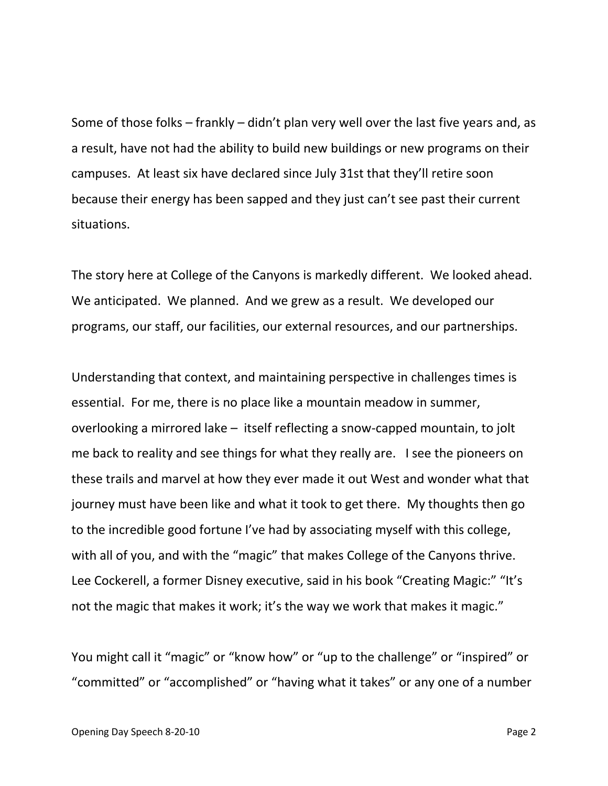Some of those folks – frankly – didn't plan very well over the last five years and, as a result, have not had the ability to build new buildings or new programs on their campuses. At least six have declared since July 31st that they'll retire soon because their energy has been sapped and they just can't see past their current situations.

The story here at College of the Canyons is markedly different. We looked ahead. We anticipated. We planned. And we grew as a result. We developed our programs, our staff, our facilities, our external resources, and our partnerships.

Understanding that context, and maintaining perspective in challenges times is essential. For me, there is no place like a mountain meadow in summer, overlooking a mirrored lake – itself reflecting a snow-capped mountain, to jolt me back to reality and see things for what they really are. I see the pioneers on these trails and marvel at how they ever made it out West and wonder what that journey must have been like and what it took to get there. My thoughts then go to the incredible good fortune I've had by associating myself with this college, with all of you, and with the "magic" that makes College of the Canyons thrive. Lee Cockerell, a former Disney executive, said in his book "Creating Magic:" "It's not the magic that makes it work; it's the way we work that makes it magic."

You might call it "magic" or "know how" or "up to the challenge" or "inspired" or "committed" or "accomplished" or "having what it takes" or any one of a number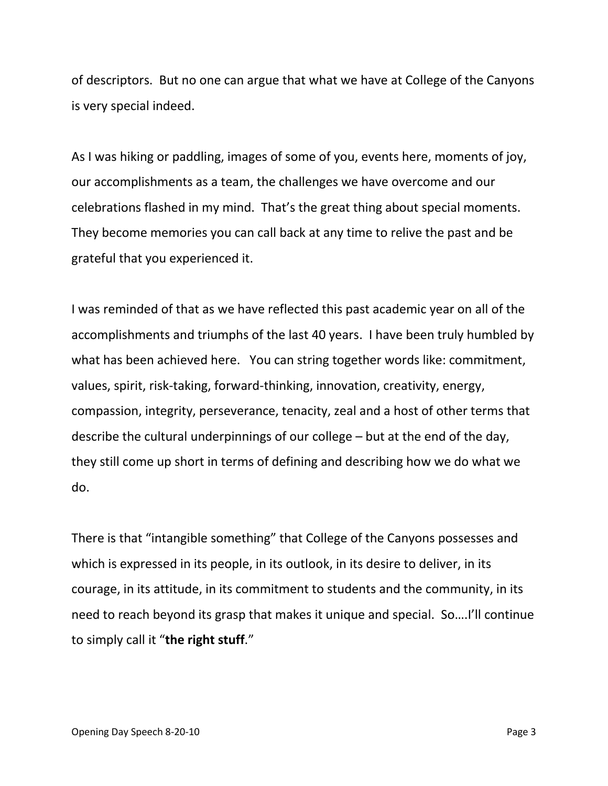of descriptors. But no one can argue that what we have at College of the Canyons is very special indeed.

As I was hiking or paddling, images of some of you, events here, moments of joy, our accomplishments as a team, the challenges we have overcome and our celebrations flashed in my mind. That's the great thing about special moments. They become memories you can call back at any time to relive the past and be grateful that you experienced it.

I was reminded of that as we have reflected this past academic year on all of the accomplishments and triumphs of the last 40 years. I have been truly humbled by what has been achieved here. You can string together words like: commitment, values, spirit, risk-taking, forward-thinking, innovation, creativity, energy, compassion, integrity, perseverance, tenacity, zeal and a host of other terms that describe the cultural underpinnings of our college – but at the end of the day, they still come up short in terms of defining and describing how we do what we do.

There is that "intangible something" that College of the Canyons possesses and which is expressed in its people, in its outlook, in its desire to deliver, in its courage, in its attitude, in its commitment to students and the community, in its need to reach beyond its grasp that makes it unique and special. So….I'll continue to simply call it "**the right stuff**."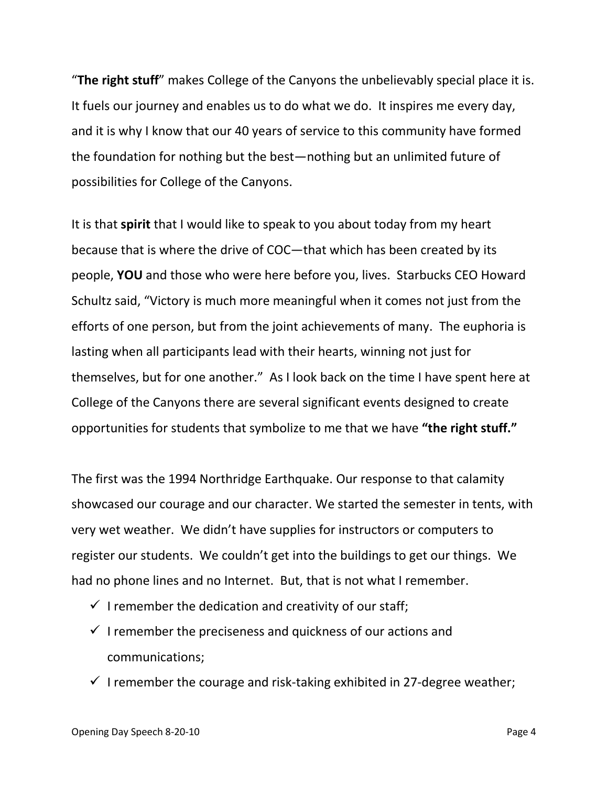"**The right stuff**" makes College of the Canyons the unbelievably special place it is. It fuels our journey and enables us to do what we do. It inspires me every day, and it is why I know that our 40 years of service to this community have formed the foundation for nothing but the best—nothing but an unlimited future of possibilities for College of the Canyons.

It is that **spirit** that I would like to speak to you about today from my heart because that is where the drive of COC—that which has been created by its people, **YOU** and those who were here before you, lives. Starbucks CEO Howard Schultz said, "Victory is much more meaningful when it comes not just from the efforts of one person, but from the joint achievements of many. The euphoria is lasting when all participants lead with their hearts, winning not just for themselves, but for one another." As I look back on the time I have spent here at College of the Canyons there are several significant events designed to create opportunities for students that symbolize to me that we have **"the right stuff."**

The first was the 1994 Northridge Earthquake. Our response to that calamity showcased our courage and our character. We started the semester in tents, with very wet weather. We didn't have supplies for instructors or computers to register our students. We couldn't get into the buildings to get our things. We had no phone lines and no Internet. But, that is not what I remember.

- $\checkmark$  I remember the dedication and creativity of our staff;
- $\checkmark$  I remember the preciseness and quickness of our actions and communications;
- $\checkmark$  I remember the courage and risk-taking exhibited in 27-degree weather;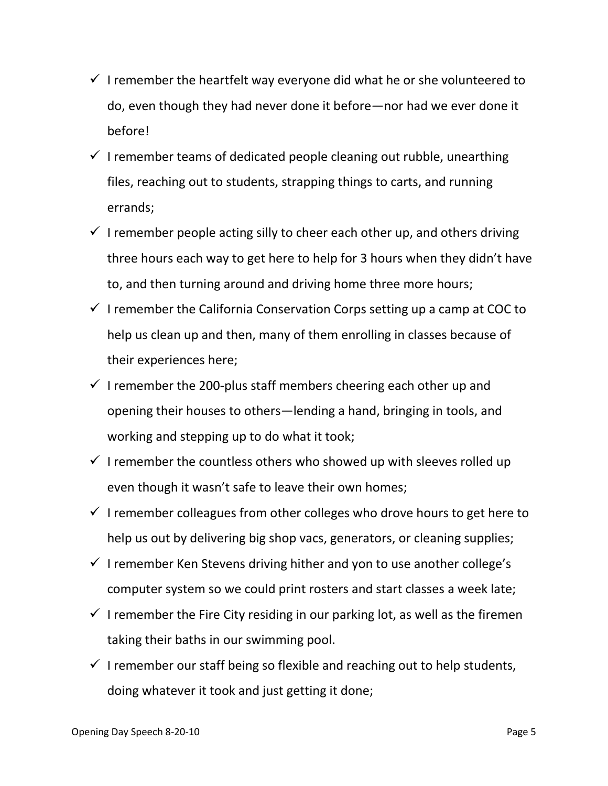- $\checkmark$  I remember the heartfelt way everyone did what he or she volunteered to do, even though they had never done it before—nor had we ever done it before!
- $\checkmark$  I remember teams of dedicated people cleaning out rubble, unearthing files, reaching out to students, strapping things to carts, and running errands;
- $\checkmark$  I remember people acting silly to cheer each other up, and others driving three hours each way to get here to help for 3 hours when they didn't have to, and then turning around and driving home three more hours;
- $\checkmark$  I remember the California Conservation Corps setting up a camp at COC to help us clean up and then, many of them enrolling in classes because of their experiences here;
- $\checkmark$  I remember the 200-plus staff members cheering each other up and opening their houses to others—lending a hand, bringing in tools, and working and stepping up to do what it took;
- $\checkmark$  I remember the countless others who showed up with sleeves rolled up even though it wasn't safe to leave their own homes;
- $\checkmark$  I remember colleagues from other colleges who drove hours to get here to help us out by delivering big shop vacs, generators, or cleaning supplies;
- $\checkmark$  I remember Ken Stevens driving hither and yon to use another college's computer system so we could print rosters and start classes a week late;
- $\checkmark$  I remember the Fire City residing in our parking lot, as well as the firemen taking their baths in our swimming pool.
- $\checkmark$  I remember our staff being so flexible and reaching out to help students, doing whatever it took and just getting it done;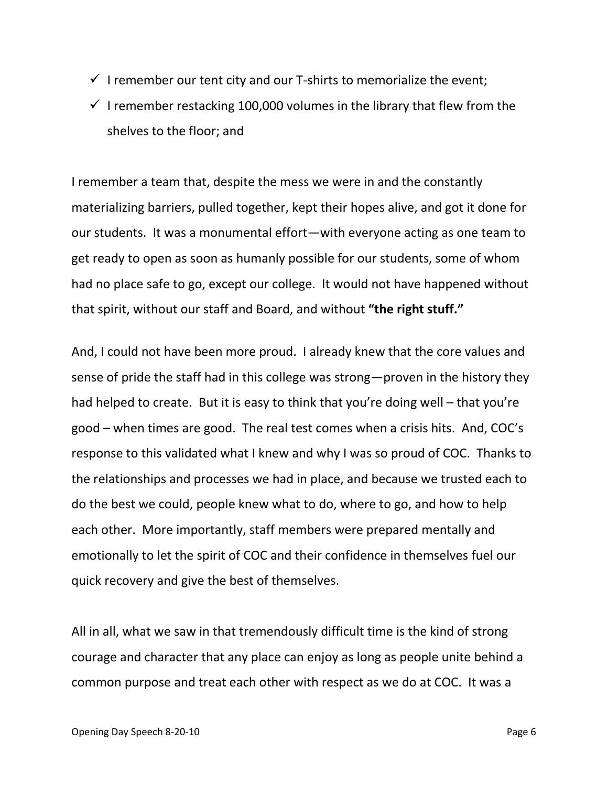- $\checkmark$  I remember our tent city and our T-shirts to memorialize the event;
- $\checkmark$  I remember restacking 100,000 volumes in the library that flew from the shelves to the floor; and

I remember a team that, despite the mess we were in and the constantly materializing barriers, pulled together, kept their hopes alive, and got it done for our students. It was a monumental effort—with everyone acting as one team to get ready to open as soon as humanly possible for our students, some of whom had no place safe to go, except our college. It would not have happened without that spirit, without our staff and Board, and without **"the right stuff."**

And, I could not have been more proud. I already knew that the core values and sense of pride the staff had in this college was strong—proven in the history they had helped to create. But it is easy to think that you're doing well – that you're good – when times are good. The real test comes when a crisis hits. And, COC's response to this validated what I knew and why I was so proud of COC. Thanks to the relationships and processes we had in place, and because we trusted each to do the best we could, people knew what to do, where to go, and how to help each other. More importantly, staff members were prepared mentally and emotionally to let the spirit of COC and their confidence in themselves fuel our quick recovery and give the best of themselves.

All in all, what we saw in that tremendously difficult time is the kind of strong courage and character that any place can enjoy as long as people unite behind a common purpose and treat each other with respect as we do at COC. It was a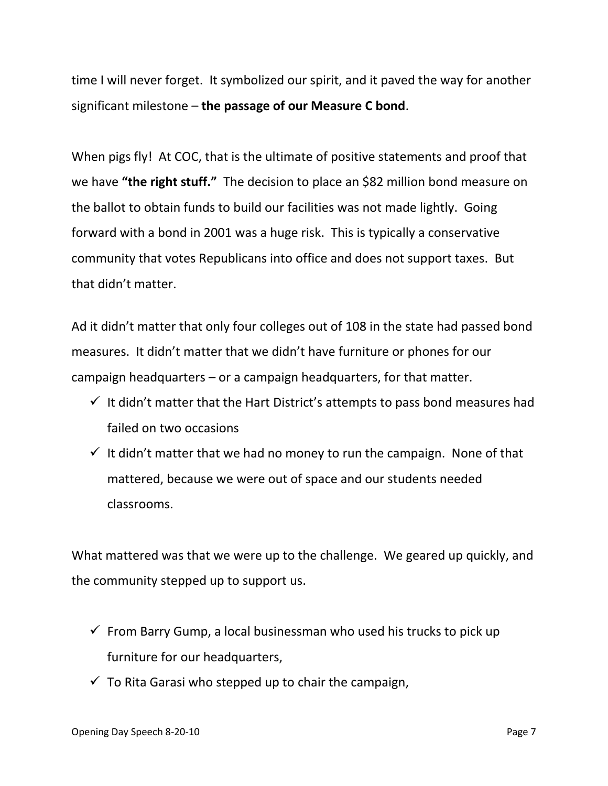time I will never forget. It symbolized our spirit, and it paved the way for another significant milestone – **the passage of our Measure C bond**.

When pigs fly! At COC, that is the ultimate of positive statements and proof that we have **"the right stuff."** The decision to place an \$82 million bond measure on the ballot to obtain funds to build our facilities was not made lightly. Going forward with a bond in 2001 was a huge risk. This is typically a conservative community that votes Republicans into office and does not support taxes. But that didn't matter.

Ad it didn't matter that only four colleges out of 108 in the state had passed bond measures. It didn't matter that we didn't have furniture or phones for our campaign headquarters – or a campaign headquarters, for that matter.

- $\checkmark$  It didn't matter that the Hart District's attempts to pass bond measures had failed on two occasions
- $\checkmark$  It didn't matter that we had no money to run the campaign. None of that mattered, because we were out of space and our students needed classrooms.

What mattered was that we were up to the challenge. We geared up quickly, and the community stepped up to support us.

- $\checkmark$  From Barry Gump, a local businessman who used his trucks to pick up furniture for our headquarters,
- $\checkmark$  To Rita Garasi who stepped up to chair the campaign,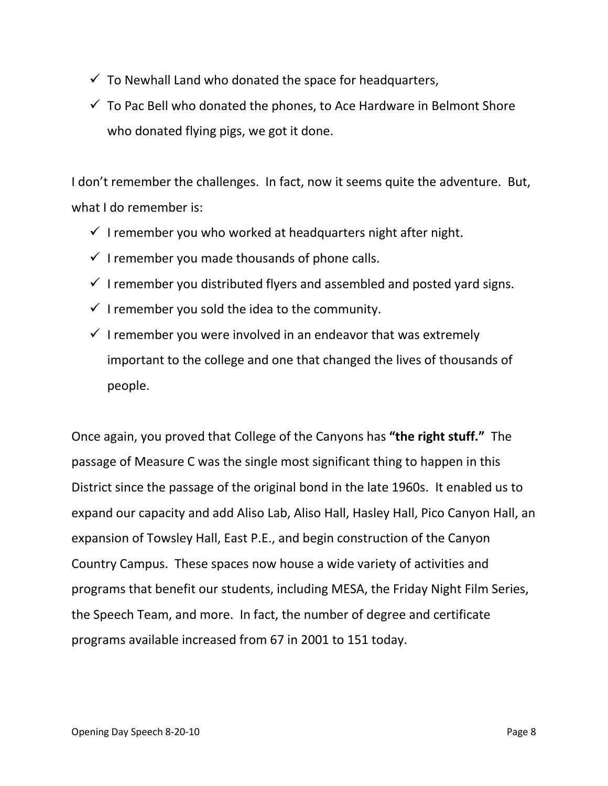- $\checkmark$  To Newhall Land who donated the space for headquarters,
- $\checkmark$  To Pac Bell who donated the phones, to Ace Hardware in Belmont Shore who donated flying pigs, we got it done.

I don't remember the challenges. In fact, now it seems quite the adventure. But, what I do remember is:

- $\checkmark$  I remember you who worked at headquarters night after night.
- $\checkmark$  I remember you made thousands of phone calls.
- $\checkmark$  I remember you distributed flyers and assembled and posted yard signs.
- $\checkmark$  I remember you sold the idea to the community.
- $\checkmark$  I remember you were involved in an endeavor that was extremely important to the college and one that changed the lives of thousands of people.

Once again, you proved that College of the Canyons has **"the right stuff."** The passage of Measure C was the single most significant thing to happen in this District since the passage of the original bond in the late 1960s. It enabled us to expand our capacity and add Aliso Lab, Aliso Hall, Hasley Hall, Pico Canyon Hall, an expansion of Towsley Hall, East P.E., and begin construction of the Canyon Country Campus. These spaces now house a wide variety of activities and programs that benefit our students, including MESA, the Friday Night Film Series, the Speech Team, and more. In fact, the number of degree and certificate programs available increased from 67 in 2001 to 151 today.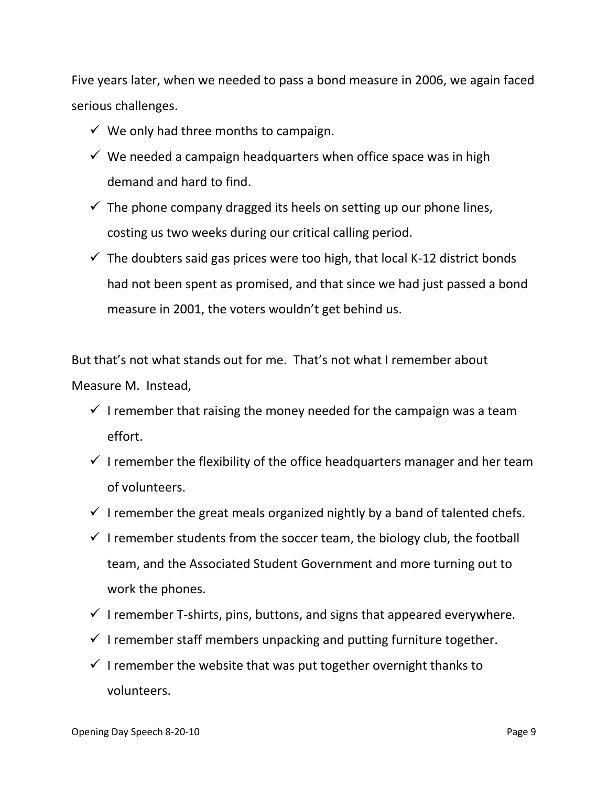Five years later, when we needed to pass a bond measure in 2006, we again faced serious challenges.

- $\checkmark$  We only had three months to campaign.
- $\checkmark$  We needed a campaign headquarters when office space was in high demand and hard to find.
- $\checkmark$  The phone company dragged its heels on setting up our phone lines, costing us two weeks during our critical calling period.
- $\checkmark$  The doubters said gas prices were too high, that local K-12 district bonds had not been spent as promised, and that since we had just passed a bond measure in 2001, the voters wouldn't get behind us.

But that's not what stands out for me. That's not what I remember about Measure M. Instead,

- $\checkmark$  I remember that raising the money needed for the campaign was a team effort.
- $\checkmark$  I remember the flexibility of the office headquarters manager and her team of volunteers.
- $\checkmark$  I remember the great meals organized nightly by a band of talented chefs.
- $\checkmark$  I remember students from the soccer team, the biology club, the football team, and the Associated Student Government and more turning out to work the phones.
- $\checkmark$  I remember T-shirts, pins, buttons, and signs that appeared everywhere.
- $\checkmark$  I remember staff members unpacking and putting furniture together.
- $\checkmark$  I remember the website that was put together overnight thanks to volunteers.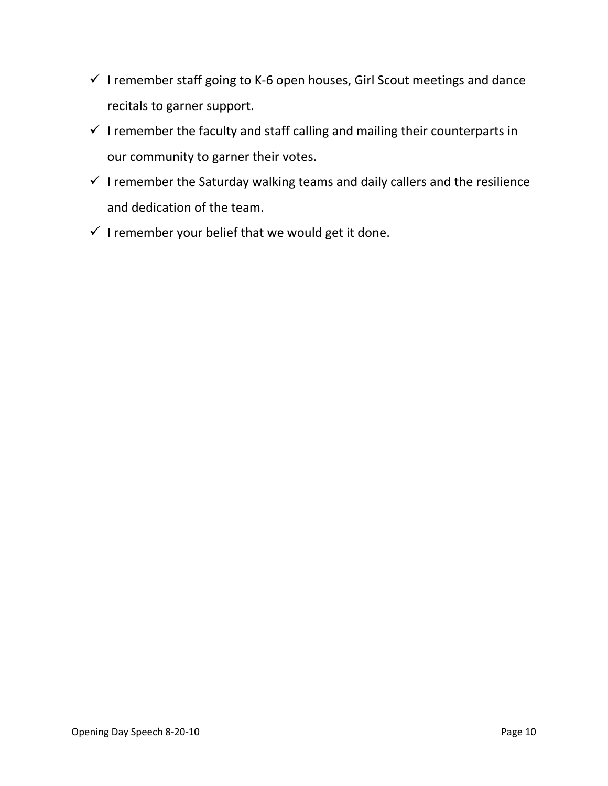- $\checkmark$  I remember staff going to K-6 open houses, Girl Scout meetings and dance recitals to garner support.
- $\checkmark$  I remember the faculty and staff calling and mailing their counterparts in our community to garner their votes.
- $\checkmark$  I remember the Saturday walking teams and daily callers and the resilience and dedication of the team.
- $\checkmark$  I remember your belief that we would get it done.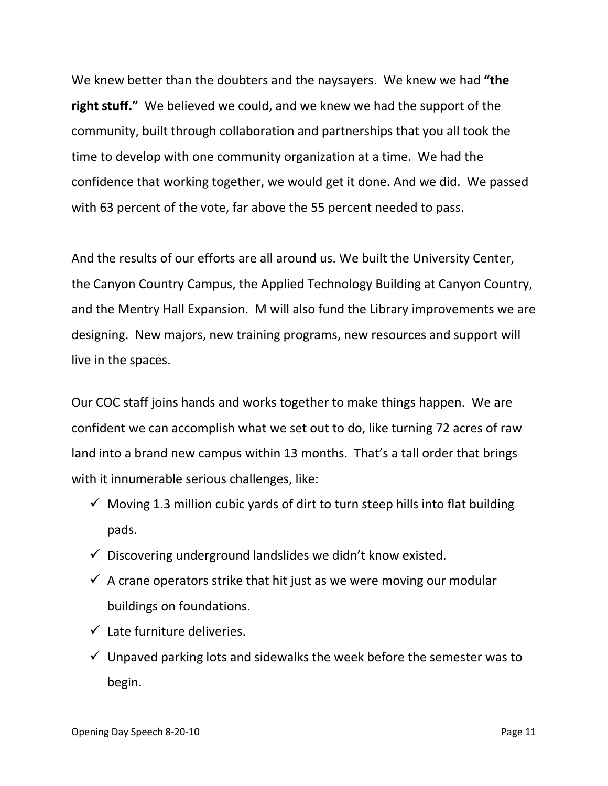We knew better than the doubters and the naysayers. We knew we had **"the right stuff."** We believed we could, and we knew we had the support of the community, built through collaboration and partnerships that you all took the time to develop with one community organization at a time. We had the confidence that working together, we would get it done. And we did. We passed with 63 percent of the vote, far above the 55 percent needed to pass.

And the results of our efforts are all around us. We built the University Center, the Canyon Country Campus, the Applied Technology Building at Canyon Country, and the Mentry Hall Expansion. M will also fund the Library improvements we are designing. New majors, new training programs, new resources and support will live in the spaces.

Our COC staff joins hands and works together to make things happen. We are confident we can accomplish what we set out to do, like turning 72 acres of raw land into a brand new campus within 13 months. That's a tall order that brings with it innumerable serious challenges, like:

- $\checkmark$  Moving 1.3 million cubic vards of dirt to turn steep hills into flat building pads.
- $\checkmark$  Discovering underground landslides we didn't know existed.
- $\checkmark$  A crane operators strike that hit just as we were moving our modular buildings on foundations.
- $\checkmark$  Late furniture deliveries.
- $\checkmark$  Unpaved parking lots and sidewalks the week before the semester was to begin.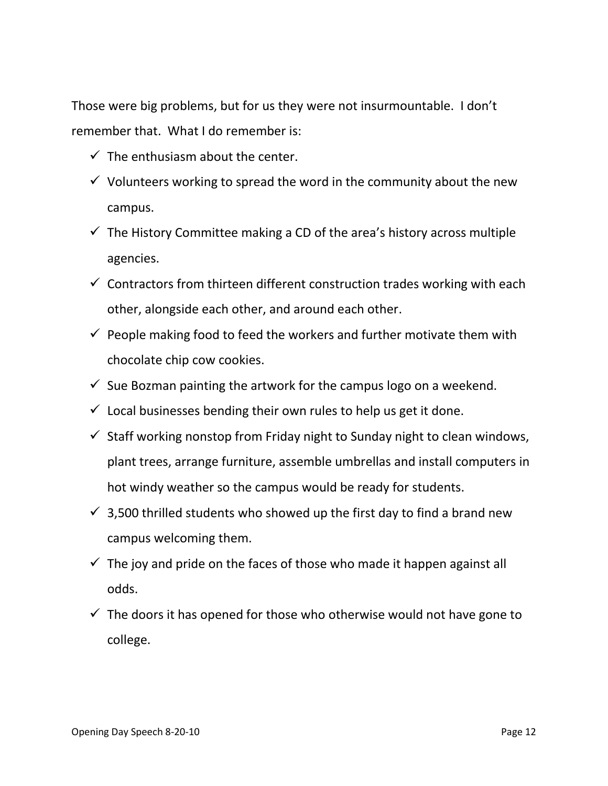Those were big problems, but for us they were not insurmountable. I don't remember that. What I do remember is:

- $\checkmark$  The enthusiasm about the center.
- $\checkmark$  Volunteers working to spread the word in the community about the new campus.
- $\checkmark$  The History Committee making a CD of the area's history across multiple agencies.
- $\checkmark$  Contractors from thirteen different construction trades working with each other, alongside each other, and around each other.
- $\checkmark$  People making food to feed the workers and further motivate them with chocolate chip cow cookies.
- $\checkmark$  Sue Bozman painting the artwork for the campus logo on a weekend.
- $\checkmark$  Local businesses bending their own rules to help us get it done.
- $\checkmark$  Staff working nonstop from Friday night to Sunday night to clean windows, plant trees, arrange furniture, assemble umbrellas and install computers in hot windy weather so the campus would be ready for students.
- $\checkmark$  3,500 thrilled students who showed up the first day to find a brand new campus welcoming them.
- $\checkmark$  The joy and pride on the faces of those who made it happen against all odds.
- $\checkmark$  The doors it has opened for those who otherwise would not have gone to college.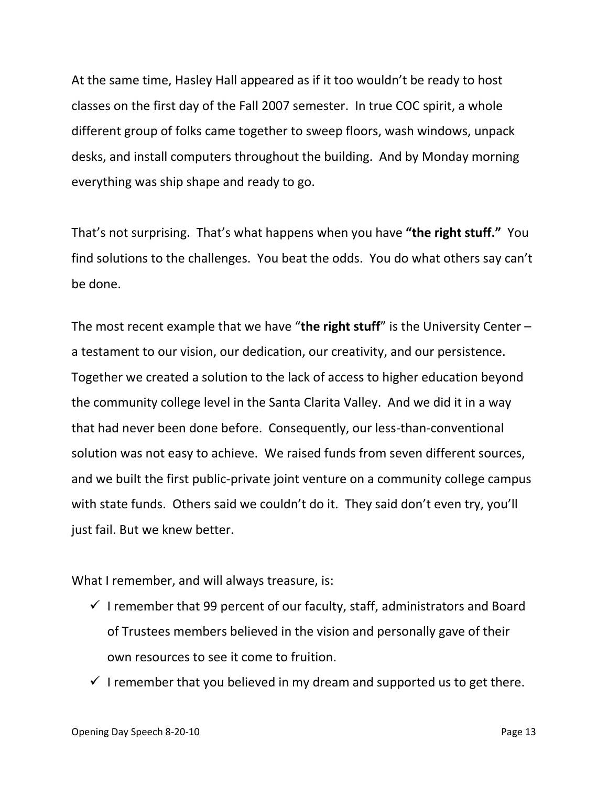At the same time, Hasley Hall appeared as if it too wouldn't be ready to host classes on the first day of the Fall 2007 semester. In true COC spirit, a whole different group of folks came together to sweep floors, wash windows, unpack desks, and install computers throughout the building. And by Monday morning everything was ship shape and ready to go.

That's not surprising. That's what happens when you have **"the right stuff."** You find solutions to the challenges. You beat the odds. You do what others say can't be done.

The most recent example that we have "**the right stuff**" is the University Center – a testament to our vision, our dedication, our creativity, and our persistence. Together we created a solution to the lack of access to higher education beyond the community college level in the Santa Clarita Valley. And we did it in a way that had never been done before. Consequently, our less-than-conventional solution was not easy to achieve. We raised funds from seven different sources, and we built the first public-private joint venture on a community college campus with state funds. Others said we couldn't do it. They said don't even try, you'll just fail. But we knew better.

What I remember, and will always treasure, is:

- $\checkmark$  I remember that 99 percent of our faculty, staff, administrators and Board of Trustees members believed in the vision and personally gave of their own resources to see it come to fruition.
- $\checkmark$  I remember that you believed in my dream and supported us to get there.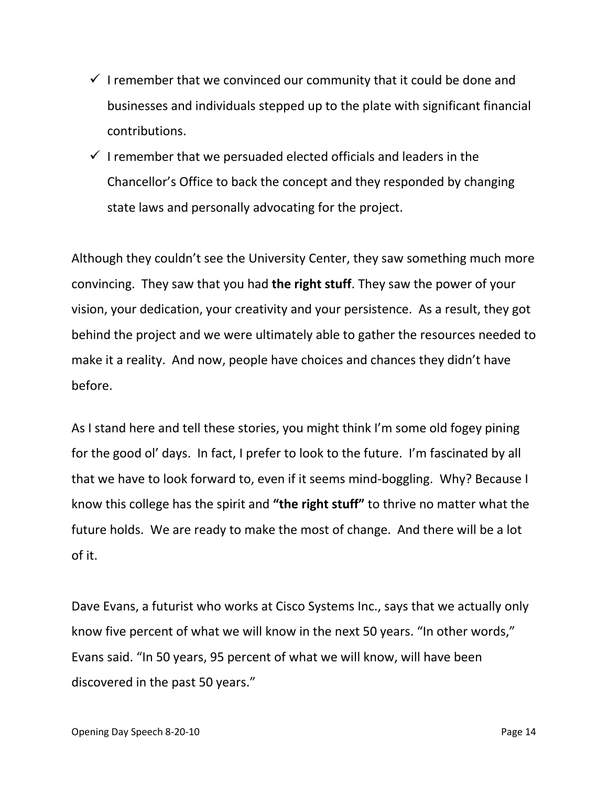- $\checkmark$  I remember that we convinced our community that it could be done and businesses and individuals stepped up to the plate with significant financial contributions.
- $\checkmark$  I remember that we persuaded elected officials and leaders in the Chancellor's Office to back the concept and they responded by changing state laws and personally advocating for the project.

Although they couldn't see the University Center, they saw something much more convincing. They saw that you had **the right stuff**. They saw the power of your vision, your dedication, your creativity and your persistence. As a result, they got behind the project and we were ultimately able to gather the resources needed to make it a reality. And now, people have choices and chances they didn't have before.

As I stand here and tell these stories, you might think I'm some old fogey pining for the good ol' days. In fact, I prefer to look to the future. I'm fascinated by all that we have to look forward to, even if it seems mind-boggling. Why? Because I know this college has the spirit and **"the right stuff"** to thrive no matter what the future holds. We are ready to make the most of change. And there will be a lot of it.

Dave Evans, a futurist who works at Cisco Systems Inc., says that we actually only know five percent of what we will know in the next 50 years. "In other words," Evans said. "In 50 years, 95 percent of what we will know, will have been discovered in the past 50 years."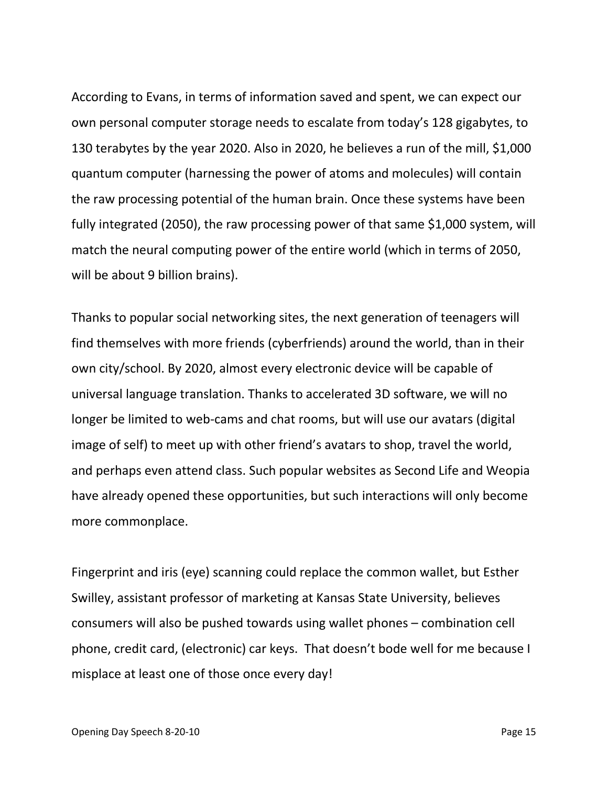According to Evans, in terms of information saved and spent, we can expect our own personal computer storage needs to escalate from today's 128 gigabytes, to 130 terabytes by the year 2020. Also in 2020, he believes a run of the mill, \$1,000 quantum computer (harnessing the power of atoms and molecules) will contain the raw processing potential of the human brain. Once these systems have been fully integrated (2050), the raw processing power of that same \$1,000 system, will match the neural computing power of the entire world (which in terms of 2050, will be about 9 billion brains).

Thanks to popular social networking sites, the next generation of teenagers will find themselves with more friends (cyberfriends) around the world, than in their own city/school. By 2020, almost every electronic device will be capable of universal language translation. Thanks to accelerated 3D software, we will no longer be limited to web-cams and chat rooms, but will use our avatars (digital image of self) to meet up with other friend's avatars to shop, travel the world, and perhaps even attend class. Such popular websites as Second Life and Weopia have already opened these opportunities, but such interactions will only become more commonplace.

Fingerprint and iris (eye) scanning could replace the common wallet, but Esther Swilley, assistant professor of marketing at Kansas State University, believes consumers will also be pushed towards using wallet phones – combination cell phone, credit card, (electronic) car keys. That doesn't bode well for me because I misplace at least one of those once every day!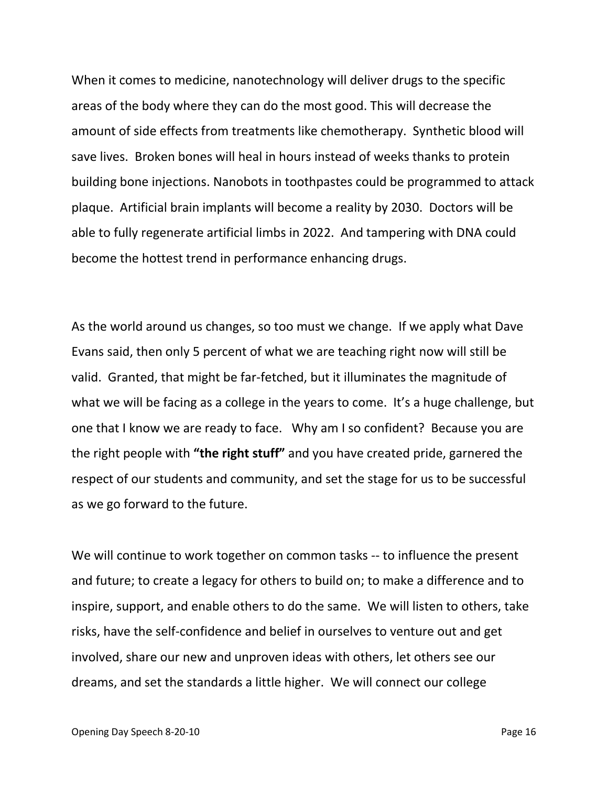When it comes to medicine, nanotechnology will deliver drugs to the specific areas of the body where they can do the most good. This will decrease the amount of side effects from treatments like chemotherapy. Synthetic blood will save lives. Broken bones will heal in hours instead of weeks thanks to protein building bone injections. Nanobots in toothpastes could be programmed to attack plaque. Artificial brain implants will become a reality by 2030. Doctors will be able to fully regenerate artificial limbs in 2022. And tampering with DNA could become the hottest trend in performance enhancing drugs.

As the world around us changes, so too must we change. If we apply what Dave Evans said, then only 5 percent of what we are teaching right now will still be valid. Granted, that might be far-fetched, but it illuminates the magnitude of what we will be facing as a college in the years to come. It's a huge challenge, but one that I know we are ready to face. Why am I so confident? Because you are the right people with **"the right stuff"** and you have created pride, garnered the respect of our students and community, and set the stage for us to be successful as we go forward to the future.

We will continue to work together on common tasks -- to influence the present and future; to create a legacy for others to build on; to make a difference and to inspire, support, and enable others to do the same. We will listen to others, take risks, have the self-confidence and belief in ourselves to venture out and get involved, share our new and unproven ideas with others, let others see our dreams, and set the standards a little higher. We will connect our college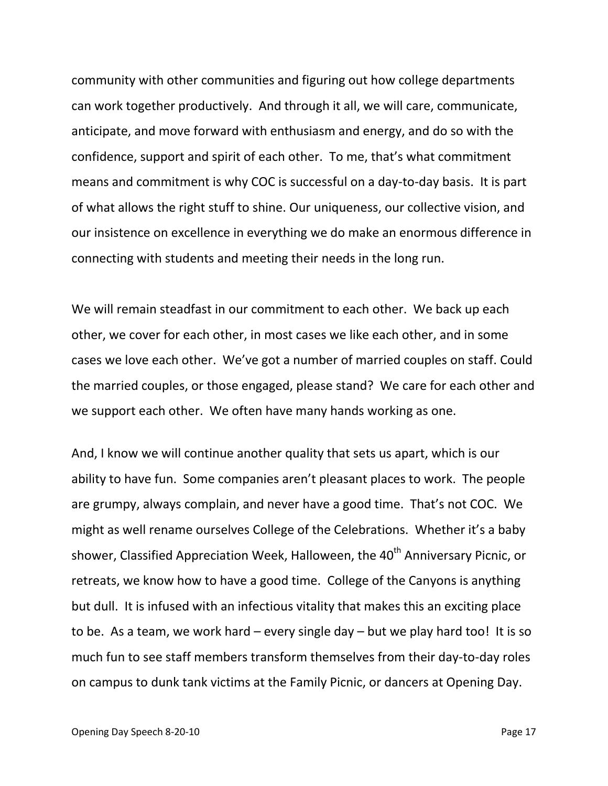community with other communities and figuring out how college departments can work together productively. And through it all, we will care, communicate, anticipate, and move forward with enthusiasm and energy, and do so with the confidence, support and spirit of each other. To me, that's what commitment means and commitment is why COC is successful on a day-to-day basis. It is part of what allows the right stuff to shine. Our uniqueness, our collective vision, and our insistence on excellence in everything we do make an enormous difference in connecting with students and meeting their needs in the long run.

We will remain steadfast in our commitment to each other. We back up each other, we cover for each other, in most cases we like each other, and in some cases we love each other. We've got a number of married couples on staff. Could the married couples, or those engaged, please stand? We care for each other and we support each other. We often have many hands working as one.

And, I know we will continue another quality that sets us apart, which is our ability to have fun. Some companies aren't pleasant places to work. The people are grumpy, always complain, and never have a good time. That's not COC. We might as well rename ourselves College of the Celebrations. Whether it's a baby shower, Classified Appreciation Week, Halloween, the 40<sup>th</sup> Anniversary Picnic, or retreats, we know how to have a good time. College of the Canyons is anything but dull. It is infused with an infectious vitality that makes this an exciting place to be. As a team, we work hard – every single day – but we play hard too! It is so much fun to see staff members transform themselves from their day-to-day roles on campus to dunk tank victims at the Family Picnic, or dancers at Opening Day.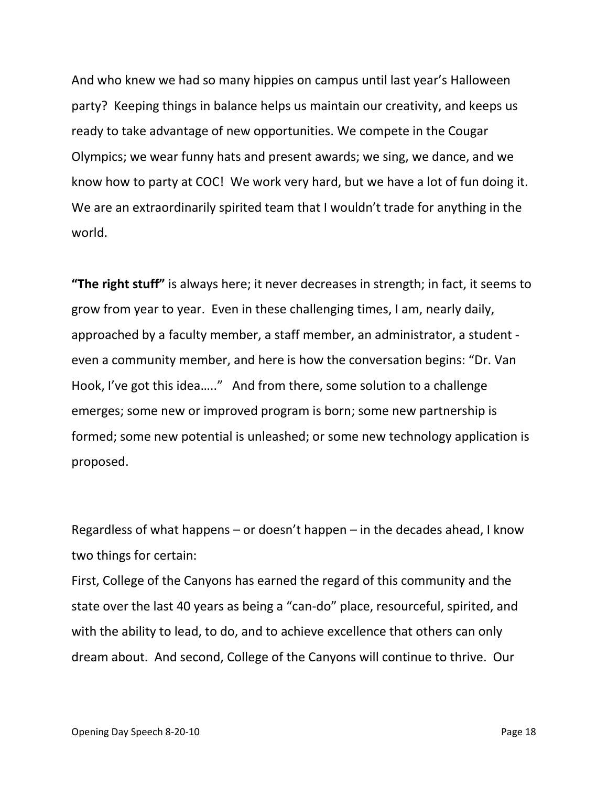And who knew we had so many hippies on campus until last year's Halloween party? Keeping things in balance helps us maintain our creativity, and keeps us ready to take advantage of new opportunities. We compete in the Cougar Olympics; we wear funny hats and present awards; we sing, we dance, and we know how to party at COC! We work very hard, but we have a lot of fun doing it. We are an extraordinarily spirited team that I wouldn't trade for anything in the world.

**"The right stuff"** is always here; it never decreases in strength; in fact, it seems to grow from year to year. Even in these challenging times, I am, nearly daily, approached by a faculty member, a staff member, an administrator, a student even a community member, and here is how the conversation begins: "Dr. Van Hook, I've got this idea….." And from there, some solution to a challenge emerges; some new or improved program is born; some new partnership is formed; some new potential is unleashed; or some new technology application is proposed.

Regardless of what happens – or doesn't happen – in the decades ahead, I know two things for certain:

First, College of the Canyons has earned the regard of this community and the state over the last 40 years as being a "can-do" place, resourceful, spirited, and with the ability to lead, to do, and to achieve excellence that others can only dream about. And second, College of the Canyons will continue to thrive. Our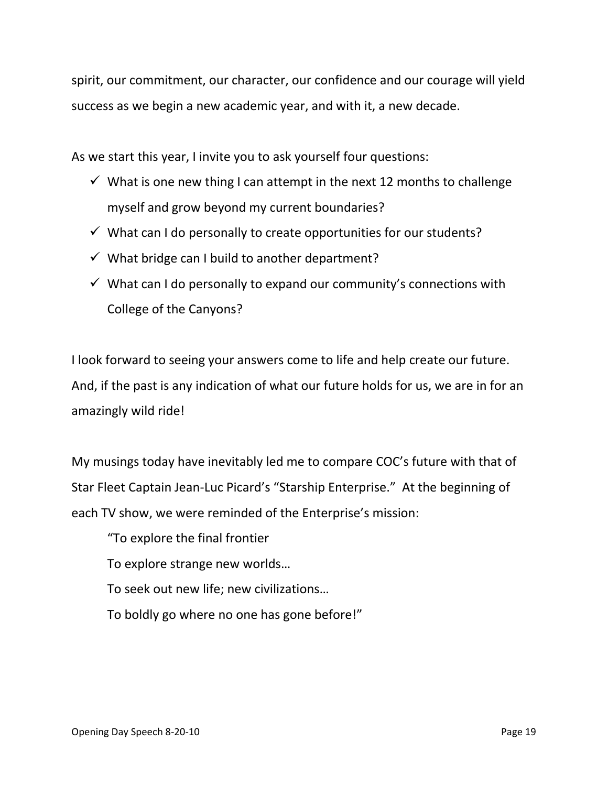spirit, our commitment, our character, our confidence and our courage will yield success as we begin a new academic year, and with it, a new decade.

As we start this year, I invite you to ask yourself four questions:

- $\checkmark$  What is one new thing I can attempt in the next 12 months to challenge myself and grow beyond my current boundaries?
- $\checkmark$  What can I do personally to create opportunities for our students?
- $\checkmark$  What bridge can I build to another department?
- $\checkmark$  What can I do personally to expand our community's connections with College of the Canyons?

I look forward to seeing your answers come to life and help create our future. And, if the past is any indication of what our future holds for us, we are in for an amazingly wild ride!

My musings today have inevitably led me to compare COC's future with that of Star Fleet Captain Jean-Luc Picard's "Starship Enterprise." At the beginning of each TV show, we were reminded of the Enterprise's mission:

"To explore the final frontier

To explore strange new worlds…

To seek out new life; new civilizations…

To boldly go where no one has gone before!"